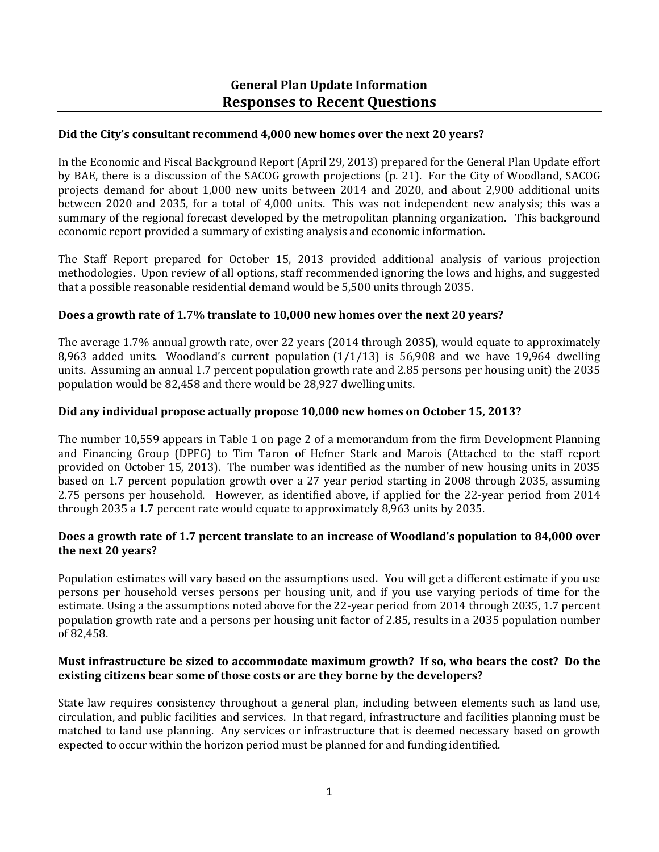## **Did the City's consultant recommend 4,000 new homes over the next 20 years?**

In the Economic and Fiscal Background Report (April 29, 2013) prepared for the General Plan Update effort by BAE, there is a discussion of the SACOG growth projections (p. 21). For the City of Woodland, SACOG projects demand for about 1,000 new units between 2014 and 2020, and about 2,900 additional units between 2020 and 2035, for a total of 4,000 units. This was not independent new analysis; this was a summary of the regional forecast developed by the metropolitan planning organization. This background economic report provided a summary of existing analysis and economic information.

The Staff Report prepared for October 15, 2013 provided additional analysis of various projection methodologies. Upon review of all options, staff recommended ignoring the lows and highs, and suggested that a possible reasonable residential demand would be 5,500 units through 2035.

## **Does a growth rate of 1.7% translate to 10,000 new homes over the next 20 years?**

The average 1.7% annual growth rate, over 22 years (2014 through 2035), would equate to approximately 8,963 added units. Woodland's current population  $(1/1/13)$  is 56,908 and we have 19,964 dwelling units. Assuming an annual 1.7 percent population growth rate and 2.85 persons per housing unit) the 2035 population would be 82,458 and there would be 28,927 dwelling units.

## **Did any individual propose actually propose 10,000 new homes on October 15, 2013?**

The number 10,559 appears in Table 1 on page 2 of a memorandum from the firm Development Planning and Financing Group (DPFG) to Tim Taron of Hefner Stark and Marois (Attached to the staff report provided on October 15, 2013). The number was identified as the number of new housing units in 2035 based on 1.7 percent population growth over a 27 year period starting in 2008 through 2035, assuming 2.75 persons per household. However, as identified above, if applied for the 22-year period from 2014 through 2035 a 1.7 percent rate would equate to approximately 8,963 units by 2035.

## **Does a growth rate of 1.7 percent translate to an increase of Woodland's population to 84,000 over the next 20 years?**

Population estimates will vary based on the assumptions used. You will get a different estimate if you use persons per household verses persons per housing unit, and if you use varying periods of time for the estimate. Using a the assumptions noted above for the 22-year period from 2014 through 2035, 1.7 percent population growth rate and a persons per housing unit factor of 2.85, results in a 2035 population number of 82,458.

### **Must infrastructure be sized to accommodate maximum growth? If so, who bears the cost? Do the existing citizens bear some of those costs or are they borne by the developers?**

State law requires consistency throughout a general plan, including between elements such as land use, circulation, and public facilities and services. In that regard, infrastructure and facilities planning must be matched to land use planning. Any services or infrastructure that is deemed necessary based on growth expected to occur within the horizon period must be planned for and funding identified.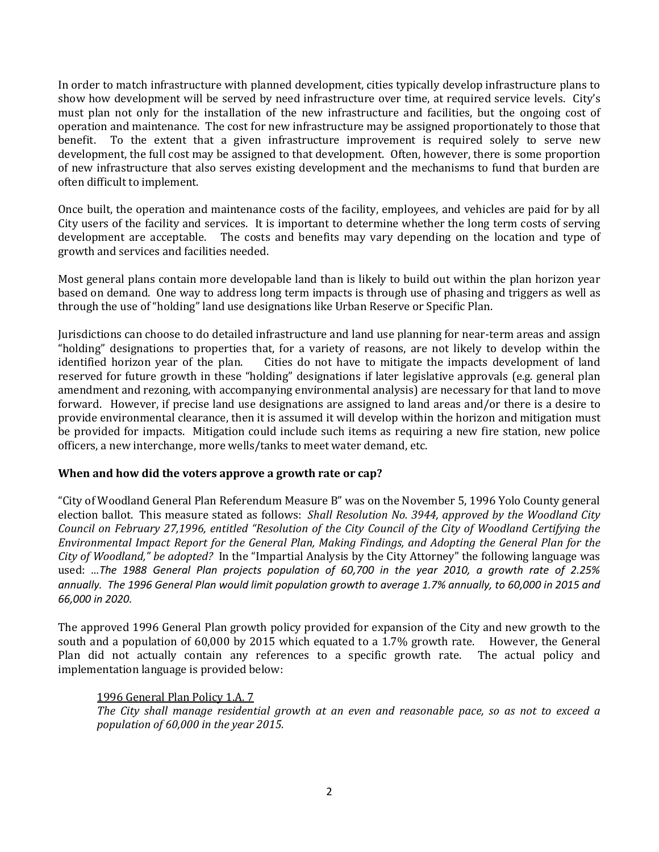In order to match infrastructure with planned development, cities typically develop infrastructure plans to show how development will be served by need infrastructure over time, at required service levels. City's must plan not only for the installation of the new infrastructure and facilities, but the ongoing cost of operation and maintenance. The cost for new infrastructure may be assigned proportionately to those that benefit. To the extent that a given infrastructure improvement is required solely to serve new development, the full cost may be assigned to that development. Often, however, there is some proportion of new infrastructure that also serves existing development and the mechanisms to fund that burden are often difficult to implement.

Once built, the operation and maintenance costs of the facility, employees, and vehicles are paid for by all City users of the facility and services. It is important to determine whether the long term costs of serving development are acceptable. The costs and benefits may vary depending on the location and type of growth and services and facilities needed.

Most general plans contain more developable land than is likely to build out within the plan horizon year based on demand. One way to address long term impacts is through use of phasing and triggers as well as through the use of "holding" land use designations like Urban Reserve or Specific Plan.

Jurisdictions can choose to do detailed infrastructure and land use planning for near-term areas and assign "holding" designations to properties that, for a variety of reasons, are not likely to develop within the identified horizon year of the plan. Cities do not have to mitigate the impacts development of land reserved for future growth in these "holding" designations if later legislative approvals (e.g. general plan amendment and rezoning, with accompanying environmental analysis) are necessary for that land to move forward. However, if precise land use designations are assigned to land areas and/or there is a desire to provide environmental clearance, then it is assumed it will develop within the horizon and mitigation must be provided for impacts. Mitigation could include such items as requiring a new fire station, new police officers, a new interchange, more wells/tanks to meet water demand, etc.

# **When and how did the voters approve a growth rate or cap?**

"City of Woodland General Plan Referendum Measure B" was on the November 5, 1996 Yolo County general election ballot. This measure stated as follows: *Shall Resolution No. 3944, approved by the Woodland City Council on February 27,1996, entitled "Resolution of the City Council of the City of Woodland Certifying the Environmental Impact Report for the General Plan, Making Findings, and Adopting the General Plan for the City of Woodland," be adopted?* In the "Impartial Analysis by the City Attorney" the following language was used: *…The 1988 General Plan projects population of 60,700 in the year 2010, a growth rate of 2.25% annually. The 1996 General Plan would limit population growth to average 1.7% annually, to 60,000 in 2015 and 66,000 in 2020.*

The approved 1996 General Plan growth policy provided for expansion of the City and new growth to the south and a population of 60,000 by 2015 which equated to a 1.7% growth rate. However, the General Plan did not actually contain any references to a specific growth rate. The actual policy and implementation language is provided below:

# 1996 General Plan Policy 1.A. 7

*The City shall manage residential growth at an even and reasonable pace, so as not to exceed a population of 60,000 in the year 2015.*